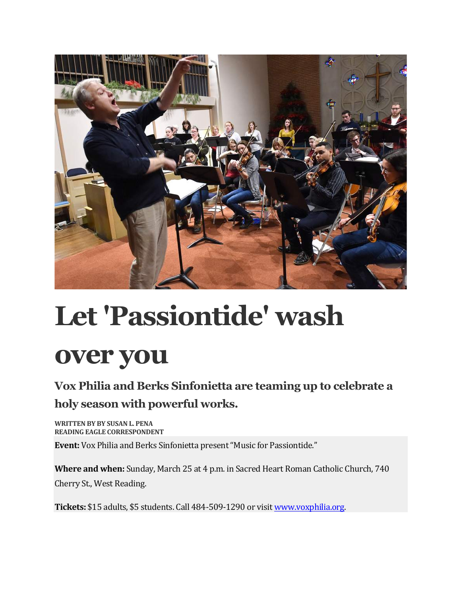

## **Let 'Passiontide' wash over you**

## **Vox Philia and Berks Sinfonietta are teaming up to celebrate a holy season with powerful works.**

WRITTEN BY BY SUSAN L. PENA **READING EAGLE CORRESPONDENT** 

**Event:** Vox Philia and Berks Sinfonietta present "Music for Passiontide."

**Where and when:** Sunday, March 25 at 4 p.m. in Sacred Heart Roman Catholic Church, 740 Cherry St., West Reading.

**Tickets:** \$15 adults, \$5 students. Call 484-509-1290 or visit www.voxphilia.org.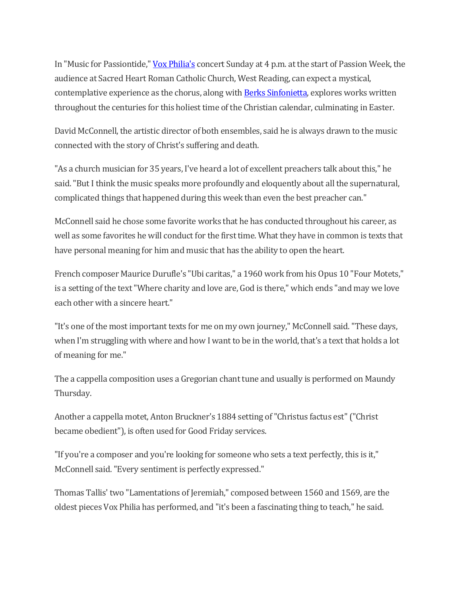In "Music for Passiontide," Vox Philia's concert Sunday at 4 p.m. at the start of Passion Week, the audience at Sacred Heart Roman Catholic Church, West Reading, can expect a mystical, contemplative experience as the chorus, along with Berks Sinfonietta, explores works written throughout the centuries for this holiest time of the Christian calendar, culminating in Easter.

David McConnell, the artistic director of both ensembles, said he is always drawn to the music connected with the story of Christ's suffering and death.

"As a church musician for 35 years, I've heard a lot of excellent preachers talk about this," he said. "But I think the music speaks more profoundly and eloquently about all the supernatural, complicated things that happened during this week than even the best preacher can."

McConnell said he chose some favorite works that he has conducted throughout his career, as well as some favorites he will conduct for the first time. What they have in common is texts that have personal meaning for him and music that has the ability to open the heart.

French composer Maurice Durufle's "Ubi caritas," a 1960 work from his Opus 10 "Four Motets," is a setting of the text "Where charity and love are, God is there," which ends "and may we love each other with a sincere heart."

"It's one of the most important texts for me on my own journey," McConnell said. "These days, when I'm struggling with where and how I want to be in the world, that's a text that holds a lot of meaning for me."

The a cappella composition uses a Gregorian chant tune and usually is performed on Maundy Thursday.

Another a cappella motet, Anton Bruckner's 1884 setting of "Christus factus est" ("Christ became obedient"), is often used for Good Friday services.

"If you're a composer and you're looking for someone who sets a text perfectly, this is it," McConnell said. "Every sentiment is perfectly expressed."

Thomas Tallis' two "Lamentations of Jeremiah," composed between 1560 and 1569, are the oldest pieces Vox Philia has performed, and "it's been a fascinating thing to teach," he said.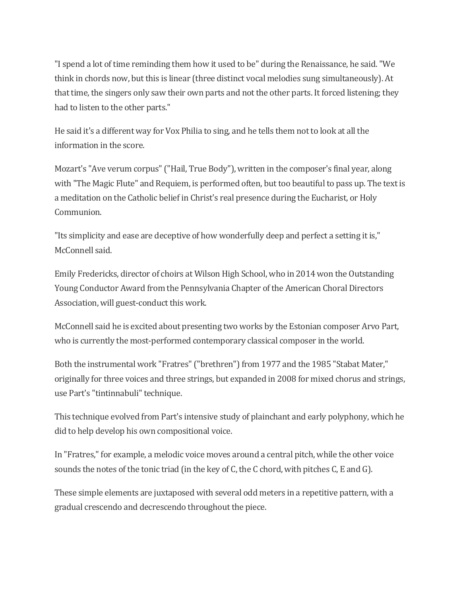"I spend a lot of time reminding them how it used to be" during the Renaissance, he said. "We think in chords now, but this is linear (three distinct vocal melodies sung simultaneously). At that time, the singers only saw their own parts and not the other parts. It forced listening; they had to listen to the other parts."

He said it's a different way for Vox Philia to sing, and he tells them not to look at all the information in the score.

Mozart's "Ave verum corpus" ("Hail, True Body"), written in the composer's final year, along with "The Magic Flute" and Requiem, is performed often, but too beautiful to pass up. The text is a meditation on the Catholic belief in Christ's real presence during the Eucharist, or Holy Communion.

"Its simplicity and ease are deceptive of how wonderfully deep and perfect a setting it is," McConnell said.

Emily Fredericks, director of choirs at Wilson High School, who in 2014 won the Outstanding Young Conductor Award from the Pennsylvania Chapter of the American Choral Directors Association, will guest-conduct this work.

McConnell said he is excited about presenting two works by the Estonian composer Arvo Part, who is currently the most-performed contemporary classical composer in the world.

Both the instrumental work "Fratres" ("brethren") from 1977 and the 1985 "Stabat Mater," originally for three voices and three strings, but expanded in 2008 for mixed chorus and strings, use Part's "tintinnabuli" technique.

This technique evolved from Part's intensive study of plainchant and early polyphony, which he did to help develop his own compositional voice.

In "Fratres," for example, a melodic voice moves around a central pitch, while the other voice sounds the notes of the tonic triad (in the key of C, the C chord, with pitches C, E and G).

These simple elements are juxtaposed with several odd meters in a repetitive pattern, with a gradual crescendo and decrescendo throughout the piece.